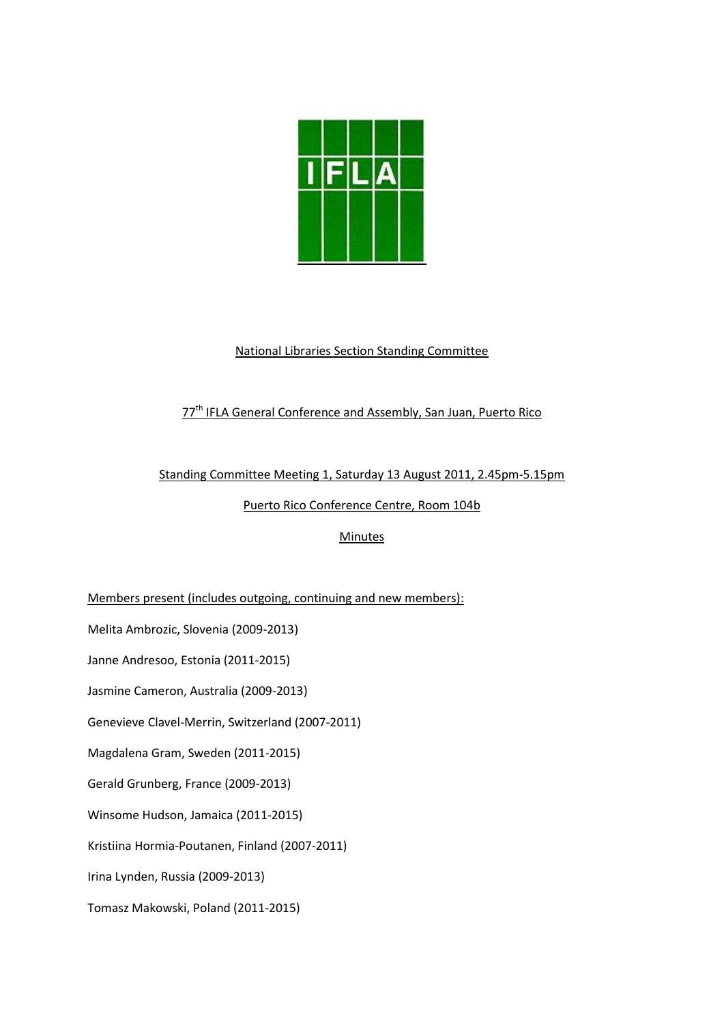

# National Libraries Section Standing Committee

# 77<sup>th</sup> IFLA General Conference and Assembly, San Juan, Puerto Rico

### Standing Committee Meeting 1, Saturday 13 August 2011, 2.45pm-5.15pm

Puerto Rico Conference Centre, Room 104b

## **Minutes**

Members present (includes outgoing, continuing and new members):

Melita Ambrozic, Slovenia (2009-2013)

Janne Andresoo, Estonia (2011-2015)

Jasmine Cameron, Australia (2009-2013)

Genevieve Clavel-Merrin, Switzerland (2007-2011)

Magdalena Gram, Sweden (2011-2015)

Gerald Grunberg, France (2009-2013)

Winsome Hudson, Jamaica (2011-2015)

Kristiina Hormia-Poutanen, Finland (2007-2011)

Irina Lynden, Russia (2009-2013)

Tomasz Makowski, Poland (2011-2015)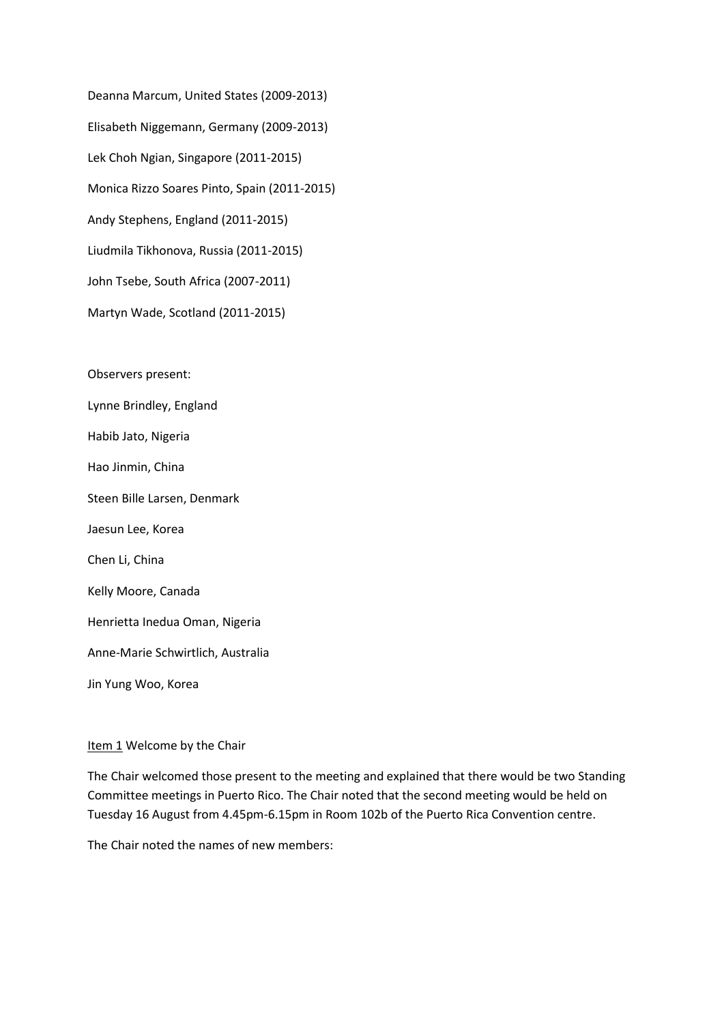Deanna Marcum, United States (2009-2013) Elisabeth Niggemann, Germany (2009-2013) Lek Choh Ngian, Singapore (2011-2015) Monica Rizzo Soares Pinto, Spain (2011-2015) Andy Stephens, England (2011-2015) Liudmila Tikhonova, Russia (2011-2015) John Tsebe, South Africa (2007-2011) Martyn Wade, Scotland (2011-2015)

Observers present:

Lynne Brindley, England

Habib Jato, Nigeria

Hao Jinmin, China

Steen Bille Larsen, Denmark

Jaesun Lee, Korea

Chen Li, China

Kelly Moore, Canada

Henrietta Inedua Oman, Nigeria

Anne-Marie Schwirtlich, Australia

Jin Yung Woo, Korea

#### Item 1 Welcome by the Chair

The Chair welcomed those present to the meeting and explained that there would be two Standing Committee meetings in Puerto Rico. The Chair noted that the second meeting would be held on Tuesday 16 August from 4.45pm-6.15pm in Room 102b of the Puerto Rica Convention centre.

The Chair noted the names of new members: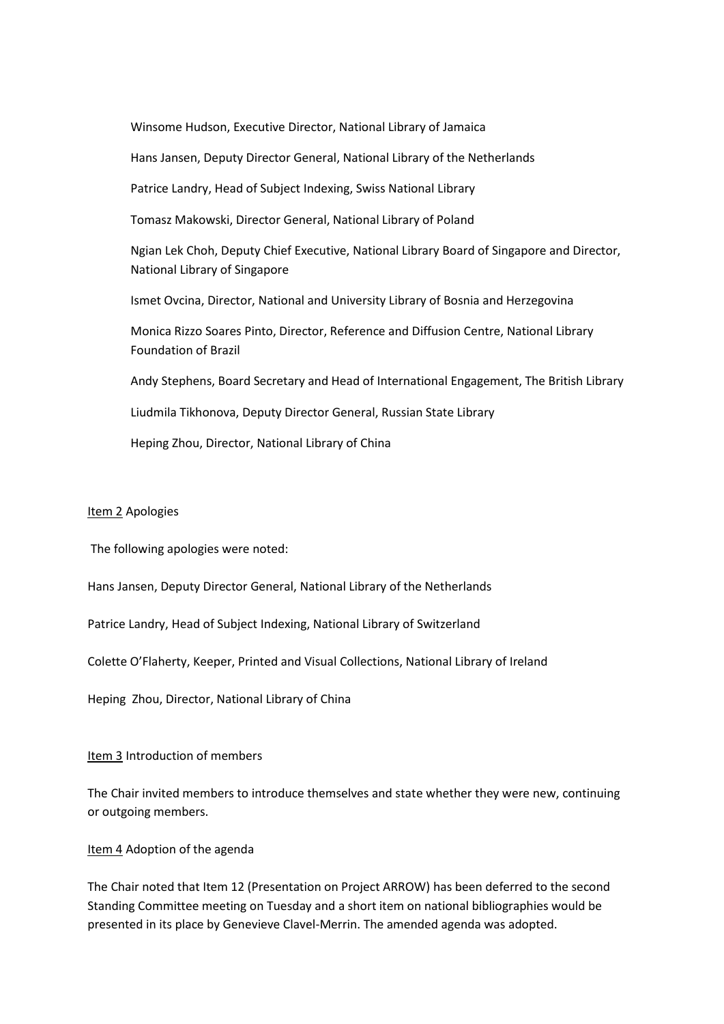Winsome Hudson, Executive Director, National Library of Jamaica Hans Jansen, Deputy Director General, National Library of the Netherlands Patrice Landry, Head of Subject Indexing, Swiss National Library Tomasz Makowski, Director General, National Library of Poland Ngian Lek Choh, Deputy Chief Executive, National Library Board of Singapore and Director, National Library of Singapore Ismet Ovcina, Director, National and University Library of Bosnia and Herzegovina Monica Rizzo Soares Pinto, Director, Reference and Diffusion Centre, National Library Foundation of Brazil Andy Stephens, Board Secretary and Head of International Engagement, The British Library Liudmila Tikhonova, Deputy Director General, Russian State Library Heping Zhou, Director, National Library of China

#### Item 2 Apologies

The following apologies were noted:

Hans Jansen, Deputy Director General, National Library of the Netherlands

Patrice Landry, Head of Subject Indexing, National Library of Switzerland

Colette O'Flaherty, Keeper, Printed and Visual Collections, National Library of Ireland

Heping Zhou, Director, National Library of China

#### Item 3 Introduction of members

The Chair invited members to introduce themselves and state whether they were new, continuing or outgoing members.

#### Item 4 Adoption of the agenda

The Chair noted that Item 12 (Presentation on Project ARROW) has been deferred to the second Standing Committee meeting on Tuesday and a short item on national bibliographies would be presented in its place by Genevieve Clavel-Merrin. The amended agenda was adopted.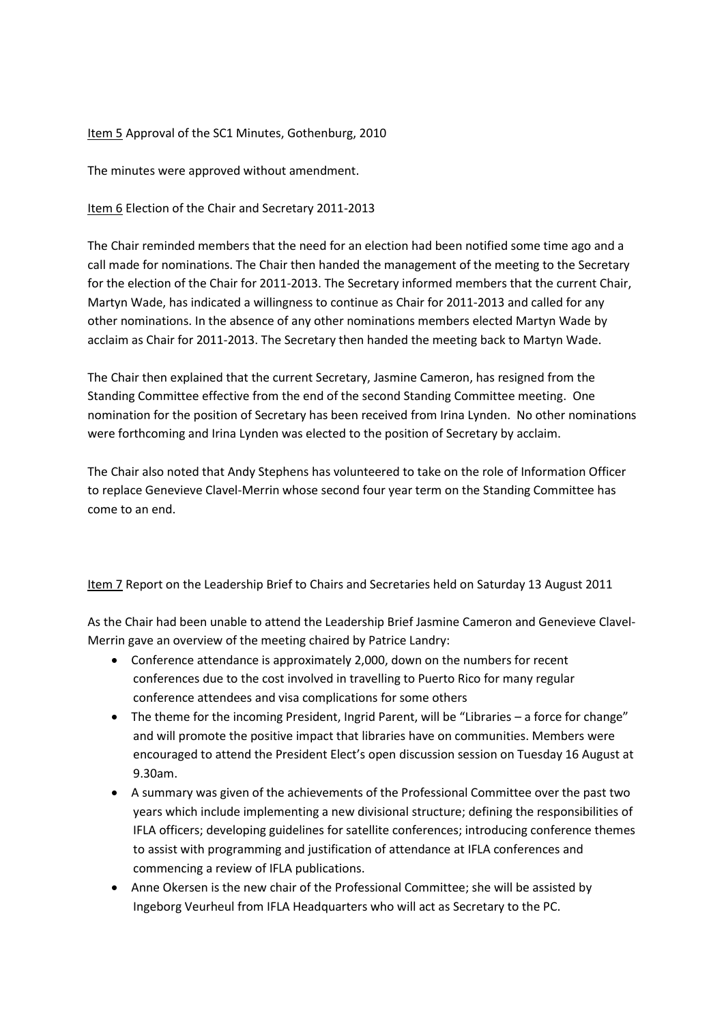### Item 5 Approval of the SC1 Minutes, Gothenburg, 2010

The minutes were approved without amendment.

Item 6 Election of the Chair and Secretary 2011-2013

The Chair reminded members that the need for an election had been notified some time ago and a call made for nominations. The Chair then handed the management of the meeting to the Secretary for the election of the Chair for 2011-2013. The Secretary informed members that the current Chair, Martyn Wade, has indicated a willingness to continue as Chair for 2011-2013 and called for any other nominations. In the absence of any other nominations members elected Martyn Wade by acclaim as Chair for 2011-2013. The Secretary then handed the meeting back to Martyn Wade.

The Chair then explained that the current Secretary, Jasmine Cameron, has resigned from the Standing Committee effective from the end of the second Standing Committee meeting. One nomination for the position of Secretary has been received from Irina Lynden. No other nominations were forthcoming and Irina Lynden was elected to the position of Secretary by acclaim.

The Chair also noted that Andy Stephens has volunteered to take on the role of Information Officer to replace Genevieve Clavel-Merrin whose second four year term on the Standing Committee has come to an end.

Item 7 Report on the Leadership Brief to Chairs and Secretaries held on Saturday 13 August 2011

As the Chair had been unable to attend the Leadership Brief Jasmine Cameron and Genevieve Clavel-Merrin gave an overview of the meeting chaired by Patrice Landry:

- Conference attendance is approximately 2,000, down on the numbers for recent conferences due to the cost involved in travelling to Puerto Rico for many regular conference attendees and visa complications for some others
- The theme for the incoming President, Ingrid Parent, will be "Libraries a force for change" and will promote the positive impact that libraries have on communities. Members were encouraged to attend the President Elect's open discussion session on Tuesday 16 August at 9.30am.
- A summary was given of the achievements of the Professional Committee over the past two years which include implementing a new divisional structure; defining the responsibilities of IFLA officers; developing guidelines for satellite conferences; introducing conference themes to assist with programming and justification of attendance at IFLA conferences and commencing a review of IFLA publications.
- Anne Okersen is the new chair of the Professional Committee; she will be assisted by Ingeborg Veurheul from IFLA Headquarters who will act as Secretary to the PC.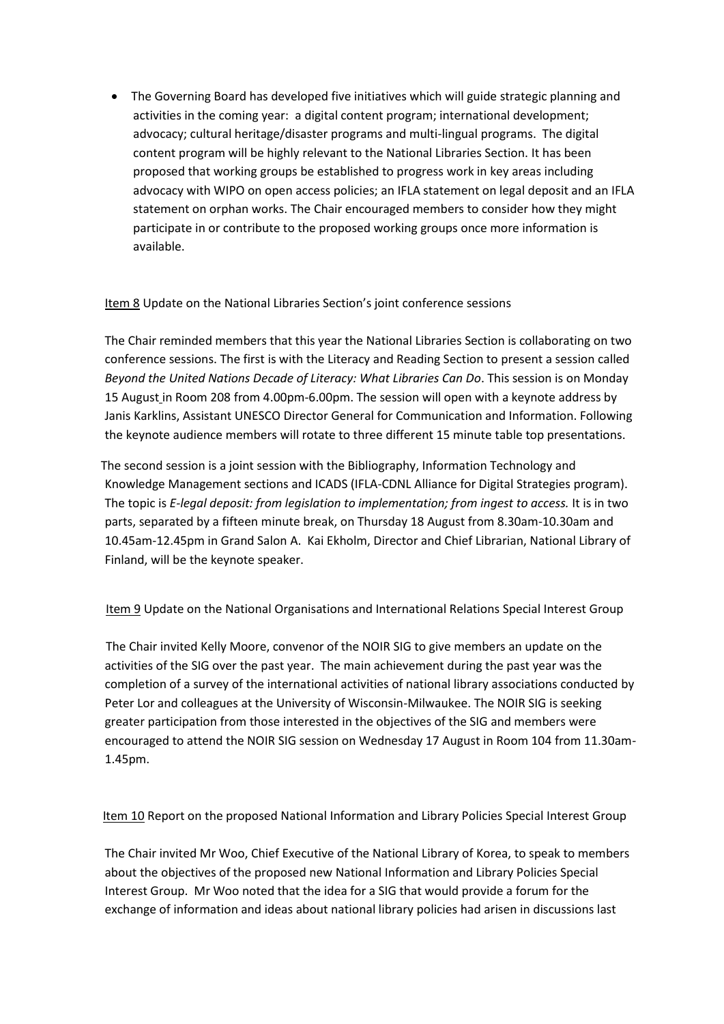• The Governing Board has developed five initiatives which will guide strategic planning and activities in the coming year: a digital content program; international development; advocacy; cultural heritage/disaster programs and multi-lingual programs. The digital content program will be highly relevant to the National Libraries Section. It has been proposed that working groups be established to progress work in key areas including advocacy with WIPO on open access policies; an IFLA statement on legal deposit and an IFLA statement on orphan works. The Chair encouraged members to consider how they might participate in or contribute to the proposed working groups once more information is available.

## Item 8 Update on the National Libraries Section's joint conference sessions

The Chair reminded members that this year the National Libraries Section is collaborating on two conference sessions. The first is with the Literacy and Reading Section to present a session called *Beyond the United Nations Decade of Literacy: What Libraries Can Do*. This session is on Monday 15 August in Room 208 from 4.00pm-6.00pm. The session will open with a keynote address by Janis Karklins, Assistant UNESCO Director General for Communication and Information. Following the keynote audience members will rotate to three different 15 minute table top presentations.

The second session is a joint session with the Bibliography, Information Technology and Knowledge Management sections and ICADS (IFLA-CDNL Alliance for Digital Strategies program). The topic is *E-legal deposit: from legislation to implementation; from ingest to access.* It is in two parts, separated by a fifteen minute break, on Thursday 18 August from 8.30am-10.30am and 10.45am-12.45pm in Grand Salon A. Kai Ekholm, Director and Chief Librarian, National Library of Finland, will be the keynote speaker.

Item 9 Update on the National Organisations and International Relations Special Interest Group

 The Chair invited Kelly Moore, convenor of the NOIR SIG to give members an update on the activities of the SIG over the past year. The main achievement during the past year was the completion of a survey of the international activities of national library associations conducted by Peter Lor and colleagues at the University of Wisconsin-Milwaukee. The NOIR SIG is seeking greater participation from those interested in the objectives of the SIG and members were encouraged to attend the NOIR SIG session on Wednesday 17 August in Room 104 from 11.30am-1.45pm.

Item 10 Report on the proposed National Information and Library Policies Special Interest Group

The Chair invited Mr Woo, Chief Executive of the National Library of Korea, to speak to members about the objectives of the proposed new National Information and Library Policies Special Interest Group. Mr Woo noted that the idea for a SIG that would provide a forum for the exchange of information and ideas about national library policies had arisen in discussions last